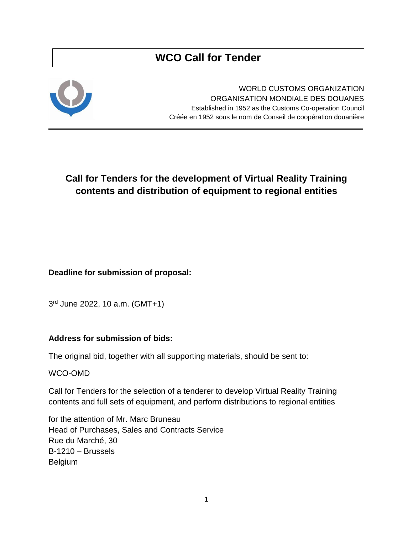# **WCO Call for Tender**



WORLD CUSTOMS ORGANIZATION ORGANISATION MONDIALE DES DOUANES Established in 1952 as the Customs Co-operation Council Créée en 1952 sous le nom de Conseil de coopération douanière

# **Call for Tenders for the development of Virtual Reality Training contents and distribution of equipment to regional entities**

**Deadline for submission of proposal:**

3 rd June 2022, 10 a.m. (GMT+1)

# **Address for submission of bids:**

The original bid, together with all supporting materials, should be sent to:

WCO-OMD

Call for Tenders for the selection of a tenderer to develop Virtual Reality Training contents and full sets of equipment, and perform distributions to regional entities

for the attention of Mr. Marc Bruneau Head of Purchases, Sales and Contracts Service Rue du Marché, 30 B-1210 – Brussels Belgium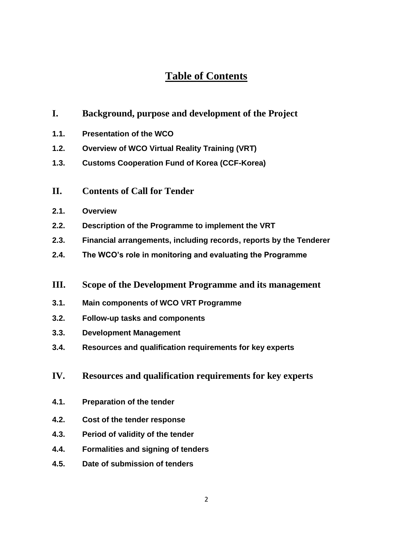# **Table of Contents**

- **I. Background, purpose and development of the Project**
- **1.1. Presentation of the WCO**
- **1.2. Overview of WCO Virtual Reality Training (VRT)**
- **1.3. Customs Cooperation Fund of Korea (CCF-Korea)**
- **II. Contents of Call for Tender**
- **2.1. Overview**
- **2.2. Description of the Programme to implement the VRT**
- **2.3. Financial arrangements, including records, reports by the Tenderer**
- **2.4. The WCO's role in monitoring and evaluating the Programme**
- **III. Scope of the Development Programme and its management**
- **3.1. Main components of WCO VRT Programme**
- **3.2. Follow-up tasks and components**
- **3.3. Development Management**
- **3.4. Resources and qualification requirements for key experts**
- **IV. Resources and qualification requirements for key experts**
- **4.1. Preparation of the tender**
- **4.2. Cost of the tender response**
- **4.3. Period of validity of the tender**
- **4.4. Formalities and signing of tenders**
- **4.5. Date of submission of tenders**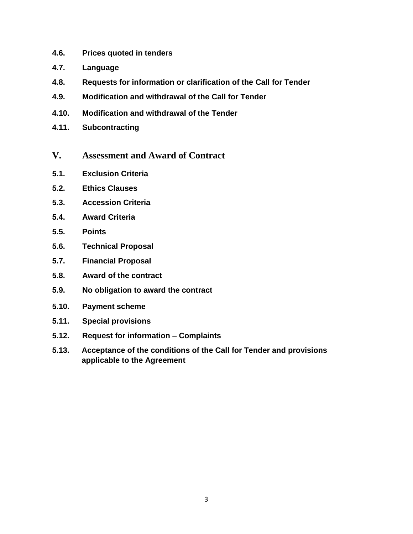- **4.6. Prices quoted in tenders**
- **4.7. Language**
- **4.8. Requests for information or clarification of the Call for Tender**
- **4.9. Modification and withdrawal of the Call for Tender**
- **4.10. Modification and withdrawal of the Tender**
- **4.11. Subcontracting**
- **V. Assessment and Award of Contract**
- **5.1. Exclusion Criteria**
- **5.2. Ethics Clauses**
- **5.3. Accession Criteria**
- **5.4. Award Criteria**
- **5.5. Points**
- **5.6. Technical Proposal**
- **5.7. Financial Proposal**
- **5.8. Award of the contract**
- **5.9. No obligation to award the contract**
- **5.10. Payment scheme**
- **5.11. Special provisions**
- **5.12. Request for information – Complaints**
- **5.13. Acceptance of the conditions of the Call for Tender and provisions applicable to the Agreement**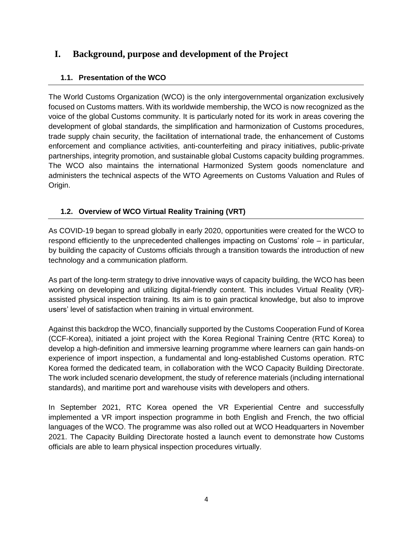# **I. Background, purpose and development of the Project**

# **1.1. Presentation of the WCO**

The World Customs Organization (WCO) is the only intergovernmental organization exclusively focused on Customs matters. With its worldwide membership, the WCO is now recognized as the voice of the global Customs community. It is particularly noted for its work in areas covering the development of global standards, the simplification and harmonization of Customs procedures, trade supply chain security, the facilitation of international trade, the enhancement of Customs enforcement and compliance activities, anti-counterfeiting and piracy initiatives, public-private partnerships, integrity promotion, and sustainable global Customs capacity building programmes. The WCO also maintains the international Harmonized System goods nomenclature and administers the technical aspects of the WTO Agreements on Customs Valuation and Rules of Origin.

# **1.2. Overview of WCO Virtual Reality Training (VRT)**

As COVID-19 began to spread globally in early 2020, opportunities were created for the WCO to respond efficiently to the unprecedented challenges impacting on Customs' role – in particular, by building the capacity of Customs officials through a transition towards the introduction of new technology and a communication platform.

As part of the long-term strategy to drive innovative ways of capacity building, the WCO has been working on developing and utilizing digital-friendly content. This includes Virtual Reality (VR) assisted physical inspection training. Its aim is to gain practical knowledge, but also to improve users' level of satisfaction when training in virtual environment.

Against this backdrop the WCO, financially supported by the Customs Cooperation Fund of Korea (CCF-Korea), initiated a joint project with the Korea Regional Training Centre (RTC Korea) to develop a high-definition and immersive learning programme where learners can gain hands-on experience of import inspection, a fundamental and long-established Customs operation. RTC Korea formed the dedicated team, in collaboration with the WCO Capacity Building Directorate. The work included scenario development, the study of reference materials (including international standards), and maritime port and warehouse visits with developers and others.

In September 2021, RTC Korea opened the VR Experiential Centre and successfully implemented a VR import inspection programme in both English and French, the two official languages of the WCO. The programme was also rolled out at WCO Headquarters in November 2021. The Capacity Building Directorate hosted a launch event to demonstrate how Customs officials are able to learn physical inspection procedures virtually.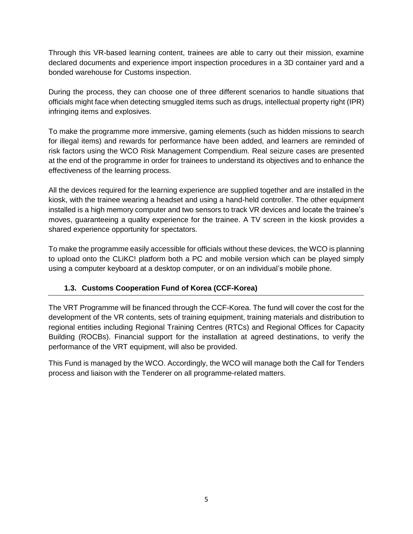Through this VR-based learning content, trainees are able to carry out their mission, examine declared documents and experience import inspection procedures in a 3D container yard and a bonded warehouse for Customs inspection.

During the process, they can choose one of three different scenarios to handle situations that officials might face when detecting smuggled items such as drugs, intellectual property right (IPR) infringing items and explosives.

To make the programme more immersive, gaming elements (such as hidden missions to search for illegal items) and rewards for performance have been added, and learners are reminded of risk factors using the WCO Risk Management Compendium. Real seizure cases are presented at the end of the programme in order for trainees to understand its objectives and to enhance the effectiveness of the learning process.

All the devices required for the learning experience are supplied together and are installed in the kiosk, with the trainee wearing a headset and using a hand-held controller. The other equipment installed is a high memory computer and two sensors to track VR devices and locate the trainee's moves, guaranteeing a quality experience for the trainee. A TV screen in the kiosk provides a shared experience opportunity for spectators.

To make the programme easily accessible for officials without these devices, the WCO is planning to upload onto the CLiKC! platform both a PC and mobile version which can be played simply using a computer keyboard at a desktop computer, or on an individual's mobile phone.

# **1.3. Customs Cooperation Fund of Korea (CCF-Korea)**

The VRT Programme will be financed through the CCF-Korea. The fund will cover the cost for the development of the VR contents, sets of training equipment, training materials and distribution to regional entities including Regional Training Centres (RTCs) and Regional Offices for Capacity Building (ROCBs). Financial support for the installation at agreed destinations, to verify the performance of the VRT equipment, will also be provided.

This Fund is managed by the WCO. Accordingly, the WCO will manage both the Call for Tenders process and liaison with the Tenderer on all programme-related matters.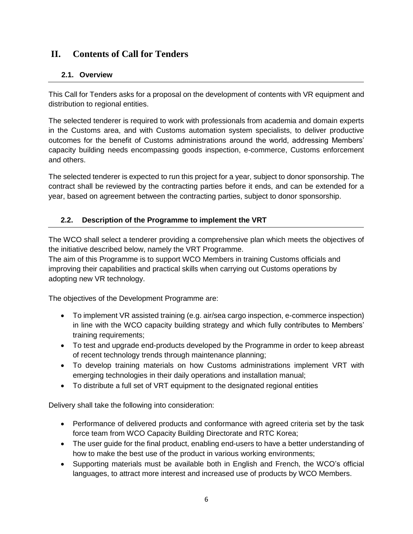# **II. Contents of Call for Tenders**

# **2.1. Overview**

This Call for Tenders asks for a proposal on the development of contents with VR equipment and distribution to regional entities.

The selected tenderer is required to work with professionals from academia and domain experts in the Customs area, and with Customs automation system specialists, to deliver productive outcomes for the benefit of Customs administrations around the world, addressing Members' capacity building needs encompassing goods inspection, e-commerce, Customs enforcement and others.

The selected tenderer is expected to run this project for a year, subject to donor sponsorship. The contract shall be reviewed by the contracting parties before it ends, and can be extended for a year, based on agreement between the contracting parties, subject to donor sponsorship.

# **2.2. Description of the Programme to implement the VRT**

The WCO shall select a tenderer providing a comprehensive plan which meets the objectives of the initiative described below, namely the VRT Programme.

The aim of this Programme is to support WCO Members in training Customs officials and improving their capabilities and practical skills when carrying out Customs operations by adopting new VR technology.

The objectives of the Development Programme are:

- To implement VR assisted training (e.g. air/sea cargo inspection, e-commerce inspection) in line with the WCO capacity building strategy and which fully contributes to Members' training requirements;
- To test and upgrade end-products developed by the Programme in order to keep abreast of recent technology trends through maintenance planning;
- To develop training materials on how Customs administrations implement VRT with emerging technologies in their daily operations and installation manual;
- To distribute a full set of VRT equipment to the designated regional entities

Delivery shall take the following into consideration:

- Performance of delivered products and conformance with agreed criteria set by the task force team from WCO Capacity Building Directorate and RTC Korea;
- The user guide for the final product, enabling end-users to have a better understanding of how to make the best use of the product in various working environments;
- Supporting materials must be available both in English and French, the WCO's official languages, to attract more interest and increased use of products by WCO Members.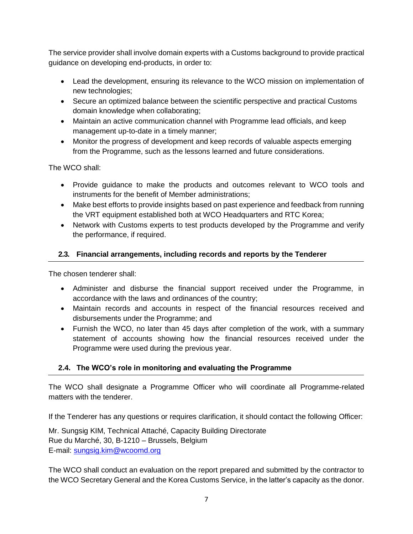The service provider shall involve domain experts with a Customs background to provide practical guidance on developing end-products, in order to:

- Lead the development, ensuring its relevance to the WCO mission on implementation of new technologies;
- Secure an optimized balance between the scientific perspective and practical Customs domain knowledge when collaborating;
- Maintain an active communication channel with Programme lead officials, and keep management up-to-date in a timely manner;
- Monitor the progress of development and keep records of valuable aspects emerging from the Programme, such as the lessons learned and future considerations.

The WCO shall:

- Provide guidance to make the products and outcomes relevant to WCO tools and instruments for the benefit of Member administrations;
- Make best efforts to provide insights based on past experience and feedback from running the VRT equipment established both at WCO Headquarters and RTC Korea;
- Network with Customs experts to test products developed by the Programme and verify the performance, if required.

# **2.3. Financial arrangements, including records and reports by the Tenderer**

The chosen tenderer shall:

- Administer and disburse the financial support received under the Programme, in accordance with the laws and ordinances of the country;
- Maintain records and accounts in respect of the financial resources received and disbursements under the Programme; and
- Furnish the WCO, no later than 45 days after completion of the work, with a summary statement of accounts showing how the financial resources received under the Programme were used during the previous year.

# **2.4. The WCO's role in monitoring and evaluating the Programme**

The WCO shall designate a Programme Officer who will coordinate all Programme-related matters with the tenderer.

If the Tenderer has any questions or requires clarification, it should contact the following Officer:

Mr. Sungsig KIM, Technical Attaché, Capacity Building Directorate Rue du Marché, 30, B-1210 – Brussels, Belgium E-mail: sungsig.kim@wcoomd.org

The WCO shall conduct an evaluation on the report prepared and submitted by the contractor to the WCO Secretary General and the Korea Customs Service, in the latter's capacity as the donor.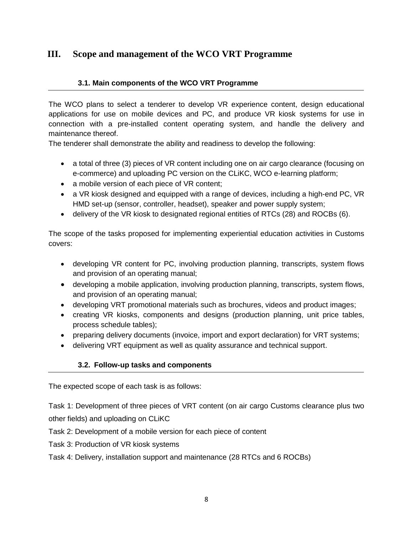# **III. Scope and management of the WCO VRT Programme**

### **3.1. Main components of the WCO VRT Programme**

The WCO plans to select a tenderer to develop VR experience content, design educational applications for use on mobile devices and PC, and produce VR kiosk systems for use in connection with a pre-installed content operating system, and handle the delivery and maintenance thereof.

The tenderer shall demonstrate the ability and readiness to develop the following:

- a total of three (3) pieces of VR content including one on air cargo clearance (focusing on e-commerce) and uploading PC version on the CLiKC, WCO e-learning platform;
- a mobile version of each piece of VR content;
- a VR kiosk designed and equipped with a range of devices, including a high-end PC, VR HMD set-up (sensor, controller, headset), speaker and power supply system;
- delivery of the VR kiosk to designated regional entities of RTCs (28) and ROCBs (6).

The scope of the tasks proposed for implementing experiential education activities in Customs covers:

- developing VR content for PC, involving production planning, transcripts, system flows and provision of an operating manual;
- developing a mobile application, involving production planning, transcripts, system flows, and provision of an operating manual;
- developing VRT promotional materials such as brochures, videos and product images;
- creating VR kiosks, components and designs (production planning, unit price tables, process schedule tables);
- preparing delivery documents (invoice, import and export declaration) for VRT systems;
- delivering VRT equipment as well as quality assurance and technical support.

#### **3.2. Follow-up tasks and components**

The expected scope of each task is as follows:

Task 1: Development of three pieces of VRT content (on air cargo Customs clearance plus two other fields) and uploading on CLiKC

- Task 2: Development of a mobile version for each piece of content
- Task 3: Production of VR kiosk systems

Task 4: Delivery, installation support and maintenance (28 RTCs and 6 ROCBs)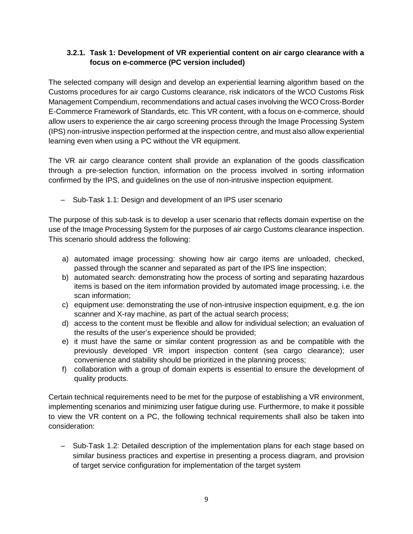# **3.2.1. Task 1: Development of VR experiential content on air cargo clearance with a focus on e-commerce (PC version included)**

The selected company will design and develop an experiential learning algorithm based on the Customs procedures for air cargo Customs clearance, risk indicators of the WCO Customs Risk Management Compendium, recommendations and actual cases involving the WCO Cross-Border E-Commerce Framework of Standards, etc. This VR content, with a focus on e-commerce, should allow users to experience the air cargo screening process through the Image Processing System (IPS) non-intrusive inspection performed at the inspection centre, and must also allow experiential learning even when using a PC without the VR equipment.

The VR air cargo clearance content shall provide an explanation of the goods classification through a pre-selection function, information on the process involved in sorting information confirmed by the IPS, and guidelines on the use of non-intrusive inspection equipment.

– Sub-Task 1.1: Design and development of an IPS user scenario

The purpose of this sub-task is to develop a user scenario that reflects domain expertise on the use of the Image Processing System for the purposes of air cargo Customs clearance inspection. This scenario should address the following:

- a) automated image processing: showing how air cargo items are unloaded, checked, passed through the scanner and separated as part of the IPS line inspection;
- b) automated search: demonstrating how the process of sorting and separating hazardous items is based on the item information provided by automated image processing, i.e. the scan information;
- c) equipment use: demonstrating the use of non-intrusive inspection equipment, e.g. the ion scanner and X-ray machine, as part of the actual search process;
- d) access to the content must be flexible and allow for individual selection; an evaluation of the results of the user's experience should be provided;
- e) it must have the same or similar content progression as and be compatible with the previously developed VR import inspection content (sea cargo clearance); user convenience and stability should be prioritized in the planning process;
- f) collaboration with a group of domain experts is essential to ensure the development of quality products.

Certain technical requirements need to be met for the purpose of establishing a VR environment, implementing scenarios and minimizing user fatigue during use. Furthermore, to make it possible to view the VR content on a PC, the following technical requirements shall also be taken into consideration:

– Sub-Task 1.2: Detailed description of the implementation plans for each stage based on similar business practices and expertise in presenting a process diagram, and provision of target service configuration for implementation of the target system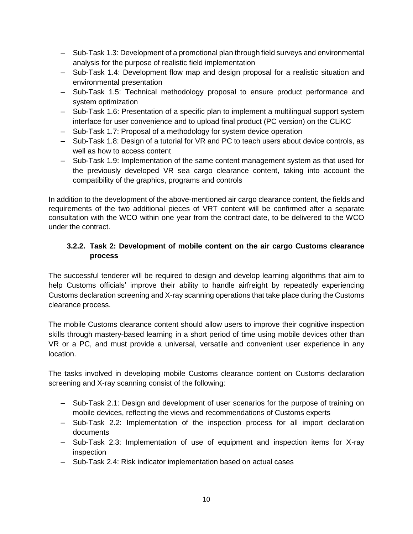- Sub-Task 1.3: Development of a promotional plan through field surveys and environmental analysis for the purpose of realistic field implementation
- Sub-Task 1.4: Development flow map and design proposal for a realistic situation and environmental presentation
- Sub-Task 1.5: Technical methodology proposal to ensure product performance and system optimization
- Sub-Task 1.6: Presentation of a specific plan to implement a multilingual support system interface for user convenience and to upload final product (PC version) on the CLiKC
- Sub-Task 1.7: Proposal of a methodology for system device operation
- Sub-Task 1.8: Design of a tutorial for VR and PC to teach users about device controls, as well as how to access content
- Sub-Task 1.9: Implementation of the same content management system as that used for the previously developed VR sea cargo clearance content, taking into account the compatibility of the graphics, programs and controls

In addition to the development of the above-mentioned air cargo clearance content, the fields and requirements of the two additional pieces of VRT content will be confirmed after a separate consultation with the WCO within one year from the contract date, to be delivered to the WCO under the contract.

# **3.2.2. Task 2: Development of mobile content on the air cargo Customs clearance process**

The successful tenderer will be required to design and develop learning algorithms that aim to help Customs officials' improve their ability to handle airfreight by repeatedly experiencing Customs declaration screening and X-ray scanning operations that take place during the Customs clearance process.

The mobile Customs clearance content should allow users to improve their cognitive inspection skills through mastery-based learning in a short period of time using mobile devices other than VR or a PC, and must provide a universal, versatile and convenient user experience in any location.

The tasks involved in developing mobile Customs clearance content on Customs declaration screening and X-ray scanning consist of the following:

- Sub-Task 2.1: Design and development of user scenarios for the purpose of training on mobile devices, reflecting the views and recommendations of Customs experts
- Sub-Task 2.2: Implementation of the inspection process for all import declaration documents
- Sub-Task 2.3: Implementation of use of equipment and inspection items for X-ray inspection
- Sub-Task 2.4: Risk indicator implementation based on actual cases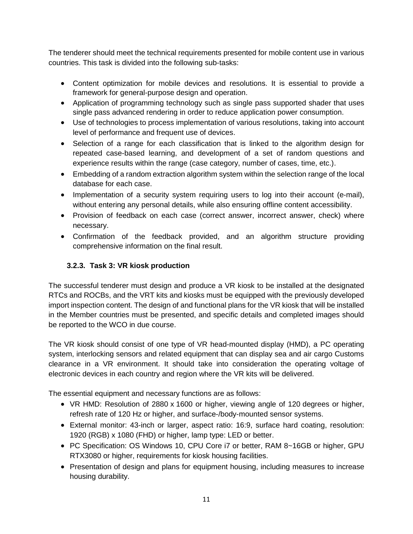The tenderer should meet the technical requirements presented for mobile content use in various countries. This task is divided into the following sub-tasks:

- Content optimization for mobile devices and resolutions. It is essential to provide a framework for general-purpose design and operation.
- Application of programming technology such as single pass supported shader that uses single pass advanced rendering in order to reduce application power consumption.
- Use of technologies to process implementation of various resolutions, taking into account level of performance and frequent use of devices.
- Selection of a range for each classification that is linked to the algorithm design for repeated case-based learning, and development of a set of random questions and experience results within the range (case category, number of cases, time, etc.).
- Embedding of a random extraction algorithm system within the selection range of the local database for each case.
- Implementation of a security system requiring users to log into their account (e-mail), without entering any personal details, while also ensuring offline content accessibility.
- Provision of feedback on each case (correct answer, incorrect answer, check) where necessary.
- Confirmation of the feedback provided, and an algorithm structure providing comprehensive information on the final result.

# **3.2.3. Task 3: VR kiosk production**

The successful tenderer must design and produce a VR kiosk to be installed at the designated RTCs and ROCBs, and the VRT kits and kiosks must be equipped with the previously developed import inspection content. The design of and functional plans for the VR kiosk that will be installed in the Member countries must be presented, and specific details and completed images should be reported to the WCO in due course.

The VR kiosk should consist of one type of VR head-mounted display (HMD), a PC operating system, interlocking sensors and related equipment that can display sea and air cargo Customs clearance in a VR environment. It should take into consideration the operating voltage of electronic devices in each country and region where the VR kits will be delivered.

The essential equipment and necessary functions are as follows:

- VR HMD: Resolution of 2880 x 1600 or higher, viewing angle of 120 degrees or higher, refresh rate of 120 Hz or higher, and surface-/body-mounted sensor systems.
- External monitor: 43-inch or larger, aspect ratio: 16:9, surface hard coating, resolution: 1920 (RGB) x 1080 (FHD) or higher, lamp type: LED or better.
- PC Specification: OS Windows 10, CPU Core i7 or better, RAM 8~16GB or higher, GPU RTX3080 or higher, requirements for kiosk housing facilities.
- Presentation of design and plans for equipment housing, including measures to increase housing durability.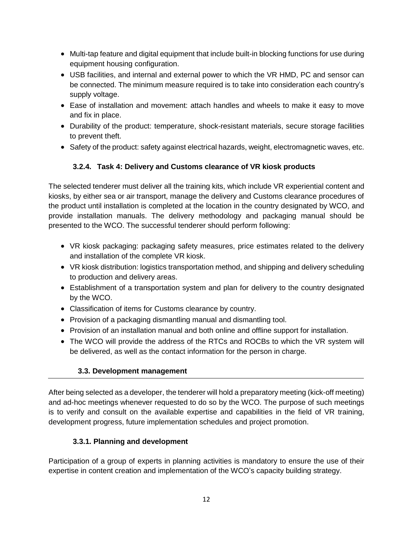- Multi-tap feature and digital equipment that include built-in blocking functions for use during equipment housing configuration.
- USB facilities, and internal and external power to which the VR HMD, PC and sensor can be connected. The minimum measure required is to take into consideration each country's supply voltage.
- Ease of installation and movement: attach handles and wheels to make it easy to move and fix in place.
- Durability of the product: temperature, shock-resistant materials, secure storage facilities to prevent theft.
- Safety of the product: safety against electrical hazards, weight, electromagnetic waves, etc.

# **3.2.4. Task 4: Delivery and Customs clearance of VR kiosk products**

The selected tenderer must deliver all the training kits, which include VR experiential content and kiosks, by either sea or air transport, manage the delivery and Customs clearance procedures of the product until installation is completed at the location in the country designated by WCO, and provide installation manuals. The delivery methodology and packaging manual should be presented to the WCO. The successful tenderer should perform following:

- VR kiosk packaging: packaging safety measures, price estimates related to the delivery and installation of the complete VR kiosk.
- VR kiosk distribution: logistics transportation method, and shipping and delivery scheduling to production and delivery areas.
- Establishment of a transportation system and plan for delivery to the country designated by the WCO.
- Classification of items for Customs clearance by country.
- Provision of a packaging dismantling manual and dismantling tool.
- Provision of an installation manual and both online and offline support for installation.
- The WCO will provide the address of the RTCs and ROCBs to which the VR system will be delivered, as well as the contact information for the person in charge.

# **3.3. Development management**

After being selected as a developer, the tenderer will hold a preparatory meeting (kick-off meeting) and ad-hoc meetings whenever requested to do so by the WCO. The purpose of such meetings is to verify and consult on the available expertise and capabilities in the field of VR training, development progress, future implementation schedules and project promotion.

# **3.3.1. Planning and development**

Participation of a group of experts in planning activities is mandatory to ensure the use of their expertise in content creation and implementation of the WCO's capacity building strategy.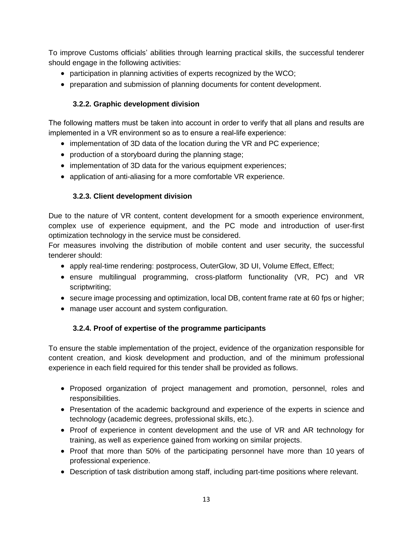To improve Customs officials' abilities through learning practical skills, the successful tenderer should engage in the following activities:

- participation in planning activities of experts recognized by the WCO;
- preparation and submission of planning documents for content development.

# **3.2.2. Graphic development division**

The following matters must be taken into account in order to verify that all plans and results are implemented in a VR environment so as to ensure a real-life experience:

- implementation of 3D data of the location during the VR and PC experience;
- production of a storyboard during the planning stage;
- implementation of 3D data for the various equipment experiences;
- application of anti-aliasing for a more comfortable VR experience.

# **3.2.3. Client development division**

Due to the nature of VR content, content development for a smooth experience environment, complex use of experience equipment, and the PC mode and introduction of user-first optimization technology in the service must be considered.

For measures involving the distribution of mobile content and user security, the successful tenderer should:

- apply real-time rendering: postprocess, OuterGlow, 3D UI, Volume Effect, Effect;
- ensure multilingual programming, cross-platform functionality (VR, PC) and VR scriptwriting;
- secure image processing and optimization, local DB, content frame rate at 60 fps or higher;
- manage user account and system configuration.

# **3.2.4. Proof of expertise of the programme participants**

To ensure the stable implementation of the project, evidence of the organization responsible for content creation, and kiosk development and production, and of the minimum professional experience in each field required for this tender shall be provided as follows.

- Proposed organization of project management and promotion, personnel, roles and responsibilities.
- Presentation of the academic background and experience of the experts in science and technology (academic degrees, professional skills, etc.).
- Proof of experience in content development and the use of VR and AR technology for training, as well as experience gained from working on similar projects.
- Proof that more than 50% of the participating personnel have more than 10 years of professional experience.
- Description of task distribution among staff, including part-time positions where relevant.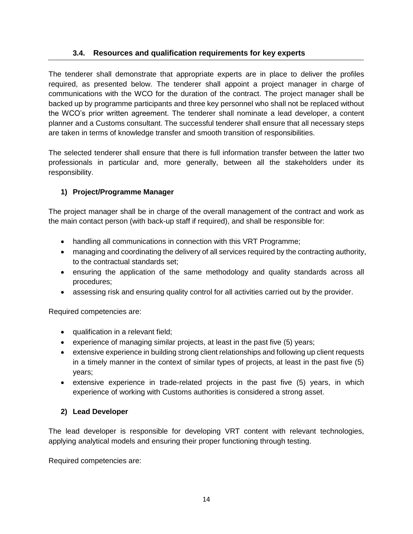# **3.4. Resources and qualification requirements for key experts**

The tenderer shall demonstrate that appropriate experts are in place to deliver the profiles required, as presented below. The tenderer shall appoint a project manager in charge of communications with the WCO for the duration of the contract. The project manager shall be backed up by programme participants and three key personnel who shall not be replaced without the WCO's prior written agreement. The tenderer shall nominate a lead developer, a content planner and a Customs consultant. The successful tenderer shall ensure that all necessary steps are taken in terms of knowledge transfer and smooth transition of responsibilities.

The selected tenderer shall ensure that there is full information transfer between the latter two professionals in particular and, more generally, between all the stakeholders under its responsibility.

# **1) Project/Programme Manager**

The project manager shall be in charge of the overall management of the contract and work as the main contact person (with back-up staff if required), and shall be responsible for:

- handling all communications in connection with this VRT Programme;
- managing and coordinating the delivery of all services required by the contracting authority, to the contractual standards set;
- ensuring the application of the same methodology and quality standards across all procedures;
- assessing risk and ensuring quality control for all activities carried out by the provider.

Required competencies are:

- qualification in a relevant field;
- experience of managing similar projects, at least in the past five (5) years;
- extensive experience in building strong client relationships and following up client requests in a timely manner in the context of similar types of projects, at least in the past five (5) years;
- $\bullet$  extensive experience in trade-related projects in the past five (5) years, in which experience of working with Customs authorities is considered a strong asset.

# **2) Lead Developer**

The lead developer is responsible for developing VRT content with relevant technologies, applying analytical models and ensuring their proper functioning through testing.

Required competencies are: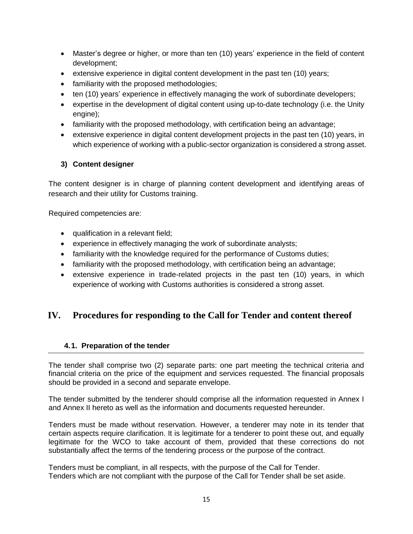- Master's degree or higher, or more than ten (10) years' experience in the field of content development;
- extensive experience in digital content development in the past ten (10) years;
- familiarity with the proposed methodologies;
- ten (10) years' experience in effectively managing the work of subordinate developers;
- expertise in the development of digital content using up-to-date technology (i.e. the Unity engine);
- familiarity with the proposed methodology, with certification being an advantage;
- extensive experience in digital content development projects in the past ten (10) years, in which experience of working with a public-sector organization is considered a strong asset.

# **3) Content designer**

The content designer is in charge of planning content development and identifying areas of research and their utility for Customs training.

Required competencies are:

- qualification in a relevant field;
- experience in effectively managing the work of subordinate analysts;
- familiarity with the knowledge required for the performance of Customs duties;
- familiarity with the proposed methodology, with certification being an advantage;
- extensive experience in trade-related projects in the past ten (10) years, in which experience of working with Customs authorities is considered a strong asset.

# **IV. Procedures for responding to the Call for Tender and content thereof**

# **4.1. Preparation of the tender**

The tender shall comprise two (2) separate parts: one part meeting the technical criteria and financial criteria on the price of the equipment and services requested. The financial proposals should be provided in a second and separate envelope.

The tender submitted by the tenderer should comprise all the information requested in Annex I and Annex II hereto as well as the information and documents requested hereunder.

Tenders must be made without reservation. However, a tenderer may note in its tender that certain aspects require clarification. It is legitimate for a tenderer to point these out, and equally legitimate for the WCO to take account of them, provided that these corrections do not substantially affect the terms of the tendering process or the purpose of the contract.

Tenders must be compliant, in all respects, with the purpose of the Call for Tender. Tenders which are not compliant with the purpose of the Call for Tender shall be set aside.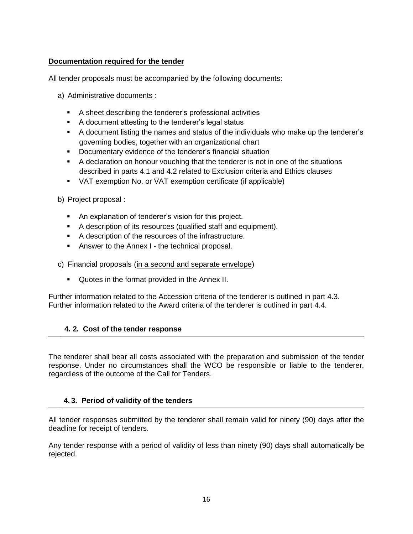### **Documentation required for the tender**

All tender proposals must be accompanied by the following documents:

- a) Administrative documents :
	- A sheet describing the tenderer's professional activities
	- A document attesting to the tenderer's legal status
	- A document listing the names and status of the individuals who make up the tenderer's governing bodies, together with an organizational chart
	- **Documentary evidence of the tenderer's financial situation**
	- A declaration on honour vouching that the tenderer is not in one of the situations described in parts 4.1 and 4.2 related to Exclusion criteria and Ethics clauses
	- VAT exemption No. or VAT exemption certificate (if applicable)

b) Project proposal :

- An explanation of tenderer's vision for this project.
- A description of its resources (qualified staff and equipment).
- A description of the resources of the infrastructure.
- **Answer to the Annex I the technical proposal.**
- c) Financial proposals (in a second and separate envelope)
	- Quotes in the format provided in the Annex II.

Further information related to the Accession criteria of the tenderer is outlined in part 4.3. Further information related to the Award criteria of the tenderer is outlined in part 4.4.

#### **4. 2. Cost of the tender response**

The tenderer shall bear all costs associated with the preparation and submission of the tender response. Under no circumstances shall the WCO be responsible or liable to the tenderer, regardless of the outcome of the Call for Tenders.

#### **4. 3. Period of validity of the tenders**

All tender responses submitted by the tenderer shall remain valid for ninety (90) days after the deadline for receipt of tenders.

Any tender response with a period of validity of less than ninety (90) days shall automatically be rejected.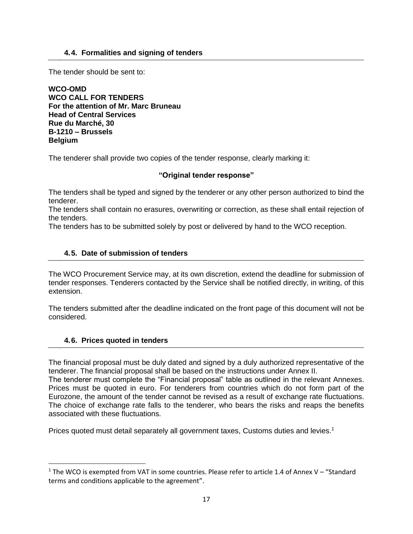#### **4.4. Formalities and signing of tenders**

The tender should be sent to:

**WCO-OMD WCO CALL FOR TENDERS For the attention of Mr. Marc Bruneau Head of Central Services Rue du Marché, 30 B-1210 – Brussels Belgium**

The tenderer shall provide two copies of the tender response, clearly marking it:

#### **"Original tender response"**

The tenders shall be typed and signed by the tenderer or any other person authorized to bind the tenderer.

The tenders shall contain no erasures, overwriting or correction, as these shall entail rejection of the tenders.

The tenders has to be submitted solely by post or delivered by hand to the WCO reception.

#### **4.5. Date of submission of tenders**

The WCO Procurement Service may, at its own discretion, extend the deadline for submission of tender responses. Tenderers contacted by the Service shall be notified directly, in writing, of this extension.

The tenders submitted after the deadline indicated on the front page of this document will not be considered.

#### **4.6. Prices quoted in tenders**

 $\overline{\phantom{a}}$ 

The financial proposal must be duly dated and signed by a duly authorized representative of the tenderer. The financial proposal shall be based on the instructions under Annex II.

The tenderer must complete the "Financial proposal" table as outlined in the relevant Annexes. Prices must be quoted in euro. For tenderers from countries which do not form part of the Eurozone, the amount of the tender cannot be revised as a result of exchange rate fluctuations. The choice of exchange rate falls to the tenderer, who bears the risks and reaps the benefits associated with these fluctuations.

Prices quoted must detail separately all government taxes, Customs duties and levies.<sup>1</sup>

<sup>&</sup>lt;sup>1</sup> The WCO is exempted from VAT in some countries. Please refer to article 1.4 of Annex V – "Standard terms and conditions applicable to the agreement".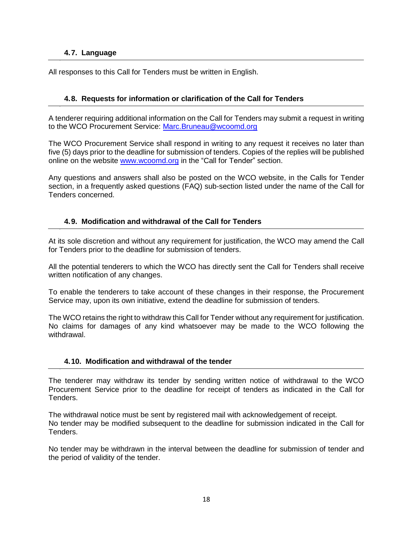#### **4.7. Language**

All responses to this Call for Tenders must be written in English.

#### **4.8. Requests for information or clarification of the Call for Tenders**

A tenderer requiring additional information on the Call for Tenders may submit a request in writing to the WCO Procurement Service: [Marc.Bruneau@wcoomd.org](mailto:Marc.Bruneau@wcoomd.org)

The WCO Procurement Service shall respond in writing to any request it receives no later than five (5) days prior to the deadline for submission of tenders. Copies of the replies will be published online on the website [www.wcoomd.org](http://www.wcoomd.org/) in the "Call for Tender" section.

Any questions and answers shall also be posted on the WCO website, in the Calls for Tender section, in a frequently asked questions (FAQ) sub-section listed under the name of the Call for Tenders concerned.

#### **4.9. Modification and withdrawal of the Call for Tenders**

At its sole discretion and without any requirement for justification, the WCO may amend the Call for Tenders prior to the deadline for submission of tenders.

All the potential tenderers to which the WCO has directly sent the Call for Tenders shall receive written notification of any changes.

To enable the tenderers to take account of these changes in their response, the Procurement Service may, upon its own initiative, extend the deadline for submission of tenders.

The WCO retains the right to withdraw this Call for Tender without any requirement for justification. No claims for damages of any kind whatsoever may be made to the WCO following the withdrawal.

#### **4.10. Modification and withdrawal of the tender**

The tenderer may withdraw its tender by sending written notice of withdrawal to the WCO Procurement Service prior to the deadline for receipt of tenders as indicated in the Call for Tenders.

The withdrawal notice must be sent by registered mail with acknowledgement of receipt. No tender may be modified subsequent to the deadline for submission indicated in the Call for Tenders.

No tender may be withdrawn in the interval between the deadline for submission of tender and the period of validity of the tender.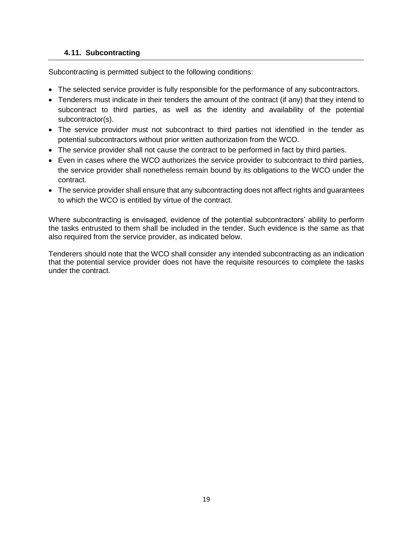#### **4.11. Subcontracting**

Subcontracting is permitted subject to the following conditions:

- The selected service provider is fully responsible for the performance of any subcontractors.
- Tenderers must indicate in their tenders the amount of the contract (if any) that they intend to subcontract to third parties, as well as the identity and availability of the potential subcontractor(s).
- The service provider must not subcontract to third parties not identified in the tender as potential subcontractors without prior written authorization from the WCO.
- The service provider shall not cause the contract to be performed in fact by third parties.
- Even in cases where the WCO authorizes the service provider to subcontract to third parties, the service provider shall nonetheless remain bound by its obligations to the WCO under the contract.
- The service provider shall ensure that any subcontracting does not affect rights and guarantees to which the WCO is entitled by virtue of the contract.

Where subcontracting is envisaged, evidence of the potential subcontractors' ability to perform the tasks entrusted to them shall be included in the tender. Such evidence is the same as that also required from the service provider, as indicated below.

Tenderers should note that the WCO shall consider any intended subcontracting as an indication that the potential service provider does not have the requisite resources to complete the tasks under the contract.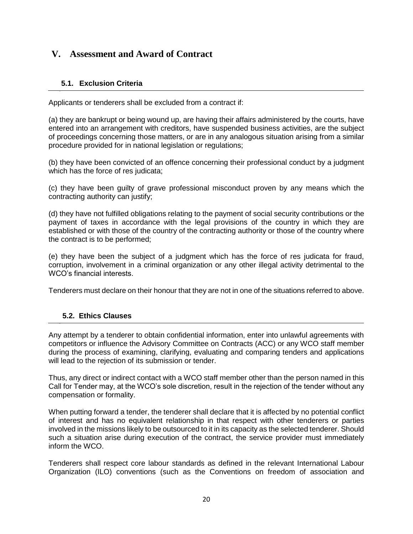# **V. Assessment and Award of Contract**

# **5.1. Exclusion Criteria**

Applicants or tenderers shall be excluded from a contract if:

(a) they are bankrupt or being wound up, are having their affairs administered by the courts, have entered into an arrangement with creditors, have suspended business activities, are the subject of proceedings concerning those matters, or are in any analogous situation arising from a similar procedure provided for in national legislation or regulations;

(b) they have been convicted of an offence concerning their professional conduct by a judgment which has the force of res judicata;

(c) they have been guilty of grave professional misconduct proven by any means which the contracting authority can justify;

(d) they have not fulfilled obligations relating to the payment of social security contributions or the payment of taxes in accordance with the legal provisions of the country in which they are established or with those of the country of the contracting authority or those of the country where the contract is to be performed;

(e) they have been the subject of a judgment which has the force of res judicata for fraud, corruption, involvement in a criminal organization or any other illegal activity detrimental to the WCO's financial interests.

Tenderers must declare on their honour that they are not in one of the situations referred to above.

# **5.2. Ethics Clauses**

Any attempt by a tenderer to obtain confidential information, enter into unlawful agreements with competitors or influence the Advisory Committee on Contracts (ACC) or any WCO staff member during the process of examining, clarifying, evaluating and comparing tenders and applications will lead to the rejection of its submission or tender.

Thus, any direct or indirect contact with a WCO staff member other than the person named in this Call for Tender may, at the WCO's sole discretion, result in the rejection of the tender without any compensation or formality.

When putting forward a tender, the tenderer shall declare that it is affected by no potential conflict of interest and has no equivalent relationship in that respect with other tenderers or parties involved in the missions likely to be outsourced to it in its capacity as the selected tenderer. Should such a situation arise during execution of the contract, the service provider must immediately inform the WCO.

Tenderers shall respect core labour standards as defined in the relevant International Labour Organization (ILO) conventions (such as the Conventions on freedom of association and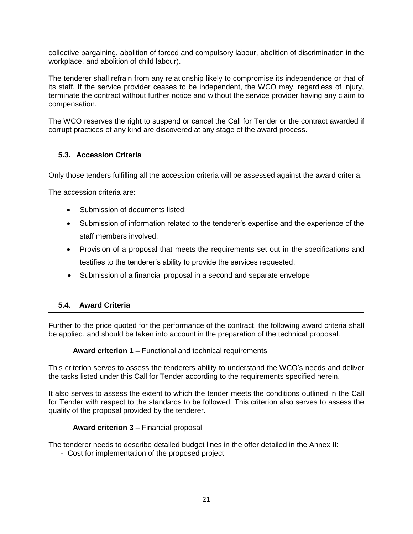collective bargaining, abolition of forced and compulsory labour, abolition of discrimination in the workplace, and abolition of child labour).

The tenderer shall refrain from any relationship likely to compromise its independence or that of its staff. If the service provider ceases to be independent, the WCO may, regardless of injury, terminate the contract without further notice and without the service provider having any claim to compensation.

The WCO reserves the right to suspend or cancel the Call for Tender or the contract awarded if corrupt practices of any kind are discovered at any stage of the award process.

#### **5.3. Accession Criteria**

Only those tenders fulfilling all the accession criteria will be assessed against the award criteria.

The accession criteria are:

- Submission of documents listed:
- Submission of information related to the tenderer's expertise and the experience of the staff members involved;
- Provision of a proposal that meets the requirements set out in the specifications and testifies to the tenderer's ability to provide the services requested;
- Submission of a financial proposal in a second and separate envelope

#### **5.4. Award Criteria**

Further to the price quoted for the performance of the contract, the following award criteria shall be applied, and should be taken into account in the preparation of the technical proposal.

**Award criterion 1 –** Functional and technical requirements

This criterion serves to assess the tenderers ability to understand the WCO's needs and deliver the tasks listed under this Call for Tender according to the requirements specified herein.

It also serves to assess the extent to which the tender meets the conditions outlined in the Call for Tender with respect to the standards to be followed. This criterion also serves to assess the quality of the proposal provided by the tenderer.

#### **Award criterion 3** – Financial proposal

The tenderer needs to describe detailed budget lines in the offer detailed in the Annex II:

- Cost for implementation of the proposed project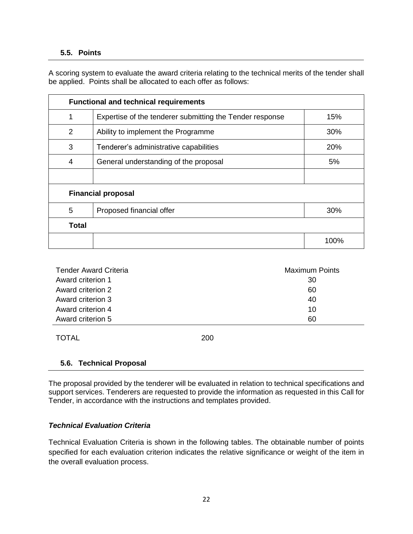#### **5.5. Points**

A scoring system to evaluate the award criteria relating to the technical merits of the tender shall be applied. Points shall be allocated to each offer as follows:

| <b>Functional and technical requirements</b> |                                                          |      |  |  |
|----------------------------------------------|----------------------------------------------------------|------|--|--|
| 1                                            | Expertise of the tenderer submitting the Tender response | 15%  |  |  |
| 2                                            | Ability to implement the Programme                       | 30%  |  |  |
| 3                                            | Tenderer's administrative capabilities                   | 20%  |  |  |
| 4                                            | General understanding of the proposal                    | 5%   |  |  |
|                                              |                                                          |      |  |  |
| <b>Financial proposal</b>                    |                                                          |      |  |  |
| 5                                            | Proposed financial offer                                 | 30%  |  |  |
| <b>Total</b>                                 |                                                          |      |  |  |
|                                              |                                                          | 100% |  |  |

| <b>Tender Award Criteria</b> | <b>Maximum Points</b> |  |
|------------------------------|-----------------------|--|
| Award criterion 1            | 30                    |  |
| Award criterion 2            | 60                    |  |
| Award criterion 3            | 40                    |  |
| Award criterion 4            | 10                    |  |
| Award criterion 5            | 60                    |  |

TOTAL 200

# **5.6. Technical Proposal**

The proposal provided by the tenderer will be evaluated in relation to technical specifications and support services. Tenderers are requested to provide the information as requested in this Call for Tender, in accordance with the instructions and templates provided.

#### *Technical Evaluation Criteria*

Technical Evaluation Criteria is shown in the following tables. The obtainable number of points specified for each evaluation criterion indicates the relative significance or weight of the item in the overall evaluation process.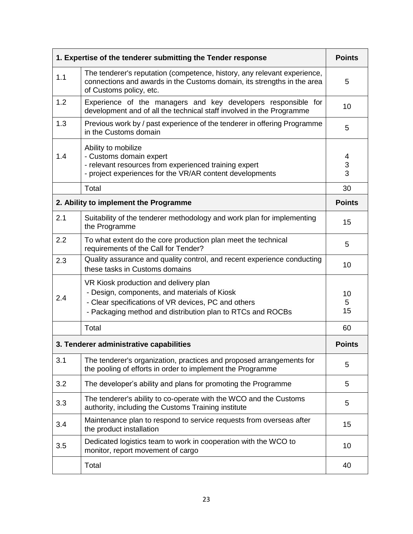| 1. Expertise of the tenderer submitting the Tender response |                                                                                                                                                                                                            |               |
|-------------------------------------------------------------|------------------------------------------------------------------------------------------------------------------------------------------------------------------------------------------------------------|---------------|
| 1.1                                                         | The tenderer's reputation (competence, history, any relevant experience,<br>connections and awards in the Customs domain, its strengths in the area<br>of Customs policy, etc.                             | 5             |
| 1.2                                                         | Experience of the managers and key developers responsible for<br>development and of all the technical staff involved in the Programme                                                                      | 10            |
| 1.3                                                         | Previous work by / past experience of the tenderer in offering Programme<br>in the Customs domain                                                                                                          | 5             |
| 1.4                                                         | Ability to mobilize<br>- Customs domain expert<br>- relevant resources from experienced training expert<br>- project experiences for the VR/AR content developments                                        | 4<br>3<br>3   |
|                                                             | Total                                                                                                                                                                                                      | 30            |
|                                                             | 2. Ability to implement the Programme                                                                                                                                                                      | <b>Points</b> |
| 2.1                                                         | Suitability of the tenderer methodology and work plan for implementing<br>the Programme                                                                                                                    | 15            |
| 2.2                                                         | To what extent do the core production plan meet the technical<br>requirements of the Call for Tender?                                                                                                      | 5             |
| 2.3                                                         | Quality assurance and quality control, and recent experience conducting<br>these tasks in Customs domains                                                                                                  | 10            |
| 2.4                                                         | VR Kiosk production and delivery plan<br>- Design, components, and materials of Kiosk<br>- Clear specifications of VR devices, PC and others<br>- Packaging method and distribution plan to RTCs and ROCBs | 10<br>5<br>15 |
|                                                             | Total                                                                                                                                                                                                      | 60            |
| 3. Tenderer administrative capabilities                     |                                                                                                                                                                                                            | <b>Points</b> |
| 3.1                                                         | The tenderer's organization, practices and proposed arrangements for<br>the pooling of efforts in order to implement the Programme                                                                         | 5             |
| 3.2                                                         | The developer's ability and plans for promoting the Programme                                                                                                                                              | 5             |
| 3.3                                                         | The tenderer's ability to co-operate with the WCO and the Customs<br>authority, including the Customs Training institute                                                                                   | 5             |
| 3.4                                                         | Maintenance plan to respond to service requests from overseas after<br>the product installation                                                                                                            | 15            |
| 3.5                                                         | Dedicated logistics team to work in cooperation with the WCO to<br>monitor, report movement of cargo                                                                                                       | 10            |
|                                                             | Total                                                                                                                                                                                                      | 40            |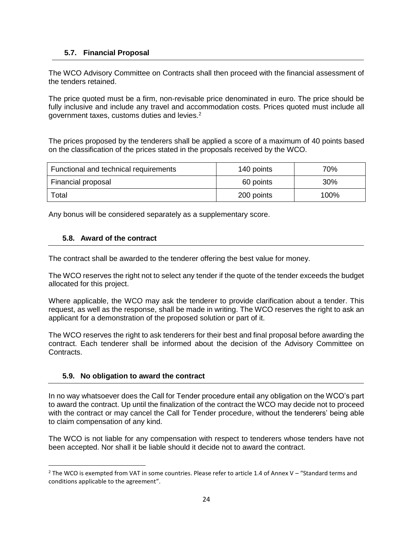#### **5.7. Financial Proposal**

The WCO Advisory Committee on Contracts shall then proceed with the financial assessment of the tenders retained.

The price quoted must be a firm, non-revisable price denominated in euro. The price should be fully inclusive and include any travel and accommodation costs. Prices quoted must include all government taxes, customs duties and levies.<sup>2</sup>

The prices proposed by the tenderers shall be applied a score of a maximum of 40 points based on the classification of the prices stated in the proposals received by the WCO.

| Functional and technical requirements | 140 points | 70%    |
|---------------------------------------|------------|--------|
| Financial proposal                    | 60 points  | $30\%$ |
| Total                                 | 200 points | 100%   |

Any bonus will be considered separately as a supplementary score.

#### **5.8. Award of the contract**

The contract shall be awarded to the tenderer offering the best value for money.

The WCO reserves the right not to select any tender if the quote of the tender exceeds the budget allocated for this project.

Where applicable, the WCO may ask the tenderer to provide clarification about a tender. This request, as well as the response, shall be made in writing. The WCO reserves the right to ask an applicant for a demonstration of the proposed solution or part of it.

The WCO reserves the right to ask tenderers for their best and final proposal before awarding the contract. Each tenderer shall be informed about the decision of the Advisory Committee on Contracts.

#### **5.9. No obligation to award the contract**

l

In no way whatsoever does the Call for Tender procedure entail any obligation on the WCO's part to award the contract. Up until the finalization of the contract the WCO may decide not to proceed with the contract or may cancel the Call for Tender procedure, without the tenderers' being able to claim compensation of any kind.

The WCO is not liable for any compensation with respect to tenderers whose tenders have not been accepted. Nor shall it be liable should it decide not to award the contract.

 $2$  The WCO is exempted from VAT in some countries. Please refer to article 1.4 of Annex V – "Standard terms and conditions applicable to the agreement".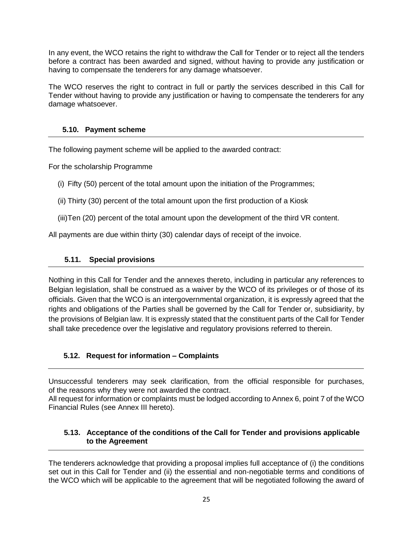In any event, the WCO retains the right to withdraw the Call for Tender or to reject all the tenders before a contract has been awarded and signed, without having to provide any justification or having to compensate the tenderers for any damage whatsoever.

The WCO reserves the right to contract in full or partly the services described in this Call for Tender without having to provide any justification or having to compensate the tenderers for any damage whatsoever.

#### **5.10. Payment scheme**

The following payment scheme will be applied to the awarded contract:

For the scholarship Programme

(i) Fifty (50) percent of the total amount upon the initiation of the Programmes;

(ii) Thirty (30) percent of the total amount upon the first production of a Kiosk

(iii)Ten (20) percent of the total amount upon the development of the third VR content.

All payments are due within thirty (30) calendar days of receipt of the invoice.

#### **5.11. Special provisions**

Nothing in this Call for Tender and the annexes thereto, including in particular any references to Belgian legislation, shall be construed as a waiver by the WCO of its privileges or of those of its officials. Given that the WCO is an intergovernmental organization, it is expressly agreed that the rights and obligations of the Parties shall be governed by the Call for Tender or, subsidiarity, by the provisions of Belgian law. It is expressly stated that the constituent parts of the Call for Tender shall take precedence over the legislative and regulatory provisions referred to therein.

# **5.12. Request for information – Complaints**

Unsuccessful tenderers may seek clarification, from the official responsible for purchases, of the reasons why they were not awarded the contract.

All request for information or complaints must be lodged according to Annex 6, point 7 of the WCO Financial Rules (see Annex III hereto).

#### **5.13. Acceptance of the conditions of the Call for Tender and provisions applicable to the Agreement**

The tenderers acknowledge that providing a proposal implies full acceptance of (i) the conditions set out in this Call for Tender and (ii) the essential and non-negotiable terms and conditions of the WCO which will be applicable to the agreement that will be negotiated following the award of